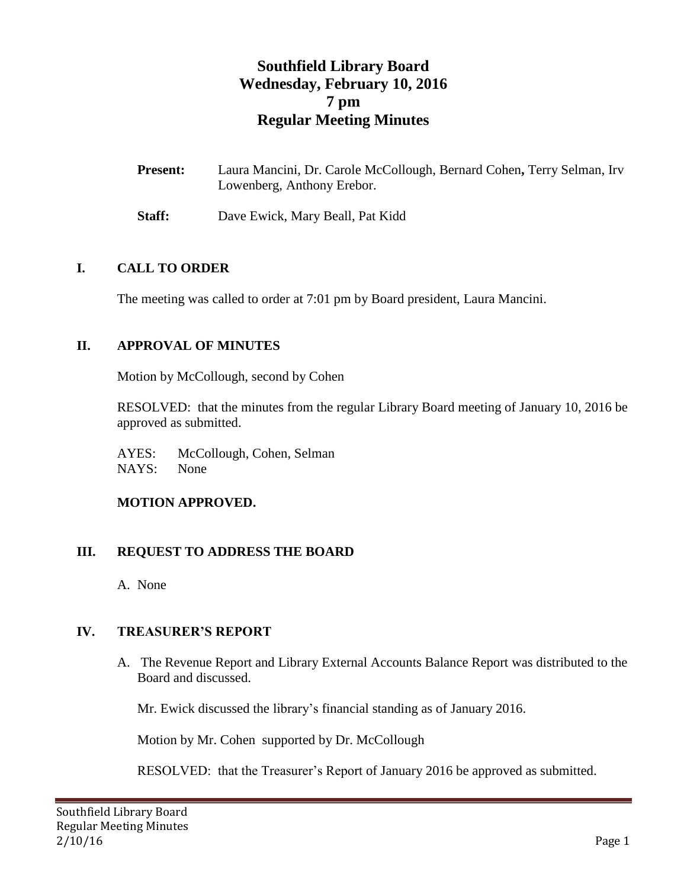# **Southfield Library Board Wednesday, February 10, 2016 7 pm Regular Meeting Minutes**

| <b>Present:</b> | Laura Mancini, Dr. Carole McCollough, Bernard Cohen, Terry Selman, Irv |
|-----------------|------------------------------------------------------------------------|
|                 | Lowenberg, Anthony Erebor.                                             |

**Staff:** Dave Ewick, Mary Beall, Pat Kidd

#### **I. CALL TO ORDER**

The meeting was called to order at 7:01 pm by Board president, Laura Mancini.

#### **II. APPROVAL OF MINUTES**

Motion by McCollough, second by Cohen

RESOLVED: that the minutes from the regular Library Board meeting of January 10, 2016 be approved as submitted.

AYES: McCollough, Cohen, Selman NAYS: None

#### **MOTION APPROVED.**

#### **III. REQUEST TO ADDRESS THE BOARD**

A. None

### **IV. TREASURER'S REPORT**

A. The Revenue Report and Library External Accounts Balance Report was distributed to the Board and discussed.

Mr. Ewick discussed the library's financial standing as of January 2016.

Motion by Mr. Cohen supported by Dr. McCollough

RESOLVED: that the Treasurer's Report of January 2016 be approved as submitted.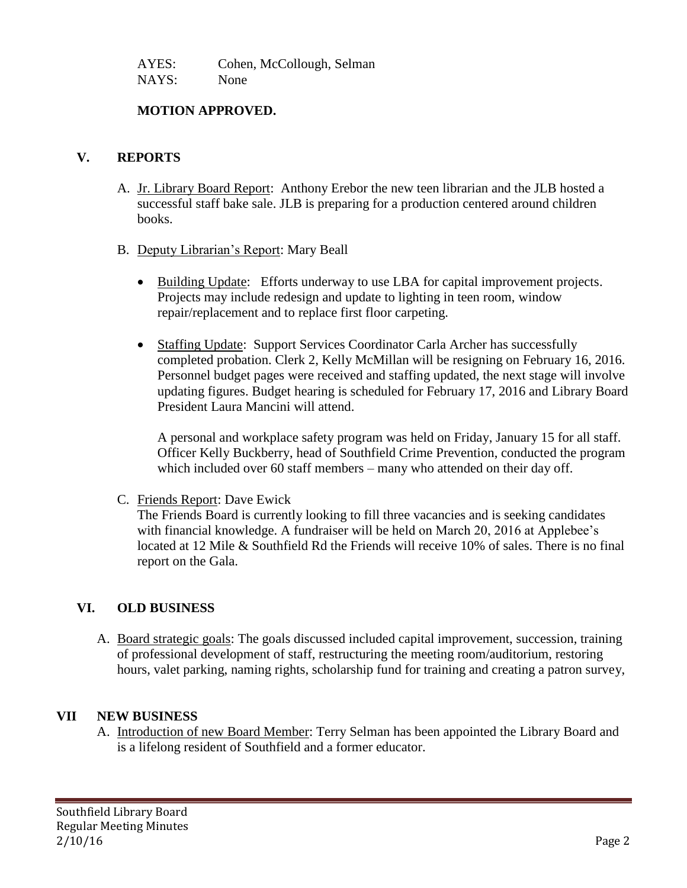AYES: Cohen, McCollough, Selman NAYS: None

#### **MOTION APPROVED.**

#### **V. REPORTS**

- A. Jr. Library Board Report: Anthony Erebor the new teen librarian and the JLB hosted a successful staff bake sale. JLB is preparing for a production centered around children books.
- B. Deputy Librarian's Report: Mary Beall
	- Building Update: Efforts underway to use LBA for capital improvement projects. Projects may include redesign and update to lighting in teen room, window repair/replacement and to replace first floor carpeting.
	- Staffing Update: Support Services Coordinator Carla Archer has successfully completed probation. Clerk 2, Kelly McMillan will be resigning on February 16, 2016. Personnel budget pages were received and staffing updated, the next stage will involve updating figures. Budget hearing is scheduled for February 17, 2016 and Library Board President Laura Mancini will attend.

A personal and workplace safety program was held on Friday, January 15 for all staff. Officer Kelly Buckberry, head of Southfield Crime Prevention, conducted the program which included over 60 staff members – many who attended on their day off.

C. Friends Report: Dave Ewick

The Friends Board is currently looking to fill three vacancies and is seeking candidates with financial knowledge. A fundraiser will be held on March 20, 2016 at Applebee's located at 12 Mile & Southfield Rd the Friends will receive 10% of sales. There is no final report on the Gala.

### **VI. OLD BUSINESS**

A. Board strategic goals: The goals discussed included capital improvement, succession, training of professional development of staff, restructuring the meeting room/auditorium, restoring hours, valet parking, naming rights, scholarship fund for training and creating a patron survey,

### **VII NEW BUSINESS**

A. Introduction of new Board Member: Terry Selman has been appointed the Library Board and is a lifelong resident of Southfield and a former educator.